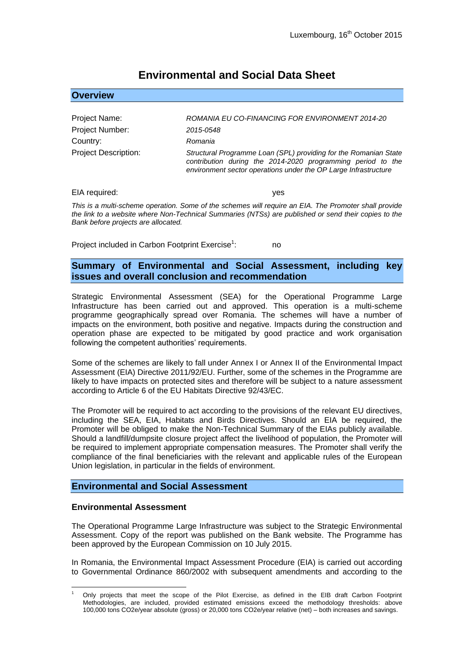# **Environmental and Social Data Sheet**

| ROMANIA EU CO-FINANCING FOR ENVIRONMENT 2014-20                                                                                                                                                    |
|----------------------------------------------------------------------------------------------------------------------------------------------------------------------------------------------------|
| 2015-0548                                                                                                                                                                                          |
| Romania                                                                                                                                                                                            |
| Structural Programme Loan (SPL) providing for the Romanian State<br>contribution during the 2014-2020 programming period to the<br>environment sector operations under the OP Large Infrastructure |
|                                                                                                                                                                                                    |

EIA required:  $y$ es

**Overview**

*This is a multi-scheme operation. Some of the schemes will require an EIA. The Promoter shall provide the link to a website where Non-Technical Summaries (NTSs) are published or send their copies to the Bank before projects are allocated.*

Project included in Carbon Footprint Exercise<sup>1</sup>: : no

## **Summary of Environmental and Social Assessment, including key issues and overall conclusion and recommendation**

Strategic Environmental Assessment (SEA) for the Operational Programme Large Infrastructure has been carried out and approved. This operation is a multi-scheme programme geographically spread over Romania. The schemes will have a number of impacts on the environment, both positive and negative. Impacts during the construction and operation phase are expected to be mitigated by good practice and work organisation following the competent authorities' requirements.

Some of the schemes are likely to fall under Annex I or Annex II of the Environmental Impact Assessment (EIA) Directive 2011/92/EU. Further, some of the schemes in the Programme are likely to have impacts on protected sites and therefore will be subject to a nature assessment according to Article 6 of the EU Habitats Directive 92/43/EC.

The Promoter will be required to act according to the provisions of the relevant EU directives, including the SEA, EIA, Habitats and Birds Directives. Should an EIA be required, the Promoter will be obliged to make the Non-Technical Summary of the EIAs publicly available. Should a landfill/dumpsite closure project affect the livelihood of population, the Promoter will be required to implement appropriate compensation measures. The Promoter shall verify the compliance of the final beneficiaries with the relevant and applicable rules of the European Union legislation, in particular in the fields of environment.

## **Environmental and Social Assessment**

### **Environmental Assessment**

The Operational Programme Large Infrastructure was subject to the Strategic Environmental Assessment. Copy of the report was published on the Bank website. The Programme has been approved by the European Commission on 10 July 2015.

In Romania, the Environmental Impact Assessment Procedure (EIA) is carried out according to Governmental Ordinance 860/2002 with subsequent amendments and according to the

<sup>1</sup> <sup>1</sup> Only projects that meet the scope of the Pilot Exercise, as defined in the EIB draft Carbon Footprint Methodologies, are included, provided estimated emissions exceed the methodology thresholds: above 100,000 tons CO2e/year absolute (gross) or 20,000 tons CO2e/year relative (net) – both increases and savings.